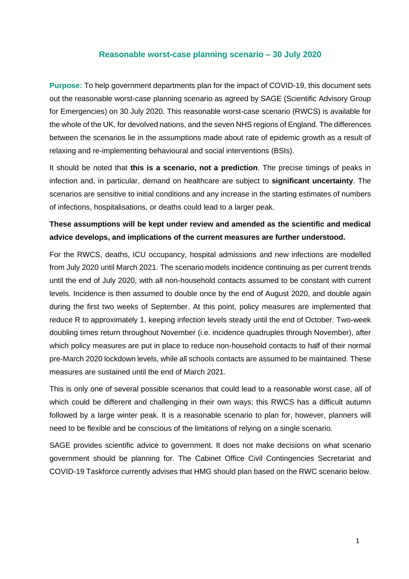### **Reasonable worst-case planning scenario – 30 July 2020**

**Purpose:** To help government departments plan for the impact of COVID-19, this document sets out the reasonable worst-case planning scenario as agreed by SAGE (Scientific Advisory Group for Emergencies) on 30 July 2020. This reasonable worst-case scenario (RWCS) is available for the whole of the UK, for devolved nations, and the seven NHS regions of England. The differences between the scenarios lie in the assumptions made about rate of epidemic growth as a result of relaxing and re-implementing behavioural and social interventions (BSIs).

It should be noted that **this is a scenario, not a prediction**. The precise timings of peaks in infection and, in particular, demand on healthcare are subject to **significant uncertainty**. The scenarios are sensitive to initial conditions and any increase in the starting estimates of numbers of infections, hospitalisations, or deaths could lead to a larger peak.

# **These assumptions will be kept under review and amended as the scientific and medical advice develops, and implications of the current measures are further understood.**

For the RWCS, deaths, ICU occupancy, hospital admissions and new infections are modelled from July 2020 until March 2021. The scenario models incidence continuing as per current trends until the end of July 2020, with all non-household contacts assumed to be constant with current levels. Incidence is then assumed to double once by the end of August 2020, and double again during the first two weeks of September. At this point, policy measures are implemented that reduce R to approximately 1, keeping infection levels steady until the end of October. Two-week doubling times return throughout November (i.e. incidence quadruples through November), after which policy measures are put in place to reduce non-household contacts to half of their normal pre-March 2020 lockdown levels, while all schools contacts are assumed to be maintained. These measures are sustained until the end of March 2021.

This is only one of several possible scenarios that could lead to a reasonable worst case, all of which could be different and challenging in their own ways; this RWCS has a difficult autumn followed by a large winter peak. It is a reasonable scenario to plan for, however, planners will need to be flexible and be conscious of the limitations of relying on a single scenario.

SAGE provides scientific advice to government. It does not make decisions on what scenario government should be planning for. The Cabinet Office Civil Contingencies Secretariat and COVID-19 Taskforce currently advises that HMG should plan based on the RWC scenario below.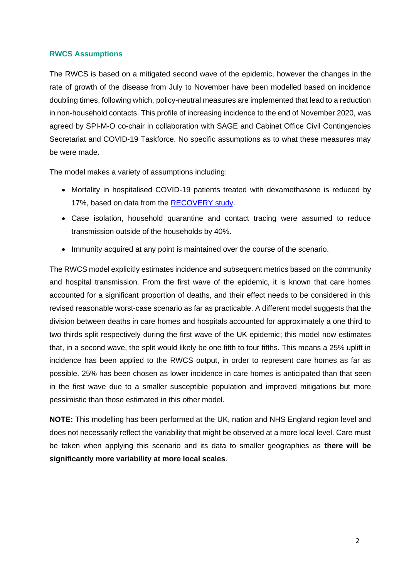#### **RWCS Assumptions**

The RWCS is based on a mitigated second wave of the epidemic, however the changes in the rate of growth of the disease from July to November have been modelled based on incidence doubling times, following which, policy-neutral measures are implemented that lead to a reduction in non-household contacts. This profile of increasing incidence to the end of November 2020, was agreed by SPI-M-O co-chair in collaboration with SAGE and Cabinet Office Civil Contingencies Secretariat and COVID-19 Taskforce. No specific assumptions as to what these measures may be were made.

The model makes a variety of assumptions including:

- Mortality in hospitalised COVID-19 patients treated with dexamethasone is reduced by 17%, based on data from the RECOVERY study.
- Case isolation, household quarantine and contact tracing were assumed to reduce transmission outside of the households by 40%.
- Immunity acquired at any point is maintained over the course of the scenario.

The RWCS model explicitly estimates incidence and subsequent metrics based on the community and hospital transmission. From the first wave of the epidemic, it is known that care homes accounted for a significant proportion of deaths, and their effect needs to be considered in this revised reasonable worst-case scenario as far as practicable. A different model suggests that the division between deaths in care homes and hospitals accounted for approximately a one third to two thirds split respectively during the first wave of the UK epidemic; this model now estimates that, in a second wave, the split would likely be one fifth to four fifths. This means a 25% uplift in incidence has been applied to the RWCS output, in order to represent care homes as far as possible. 25% has been chosen as lower incidence in care homes is anticipated than that seen in the first wave due to a smaller susceptible population and improved mitigations but more pessimistic than those estimated in this other model.

**NOTE:** This modelling has been performed at the UK, nation and NHS England region level and does not necessarily reflect the variability that might be observed at a more local level. Care must be taken when applying this scenario and its data to smaller geographies as **there will be significantly more variability at more local scales**.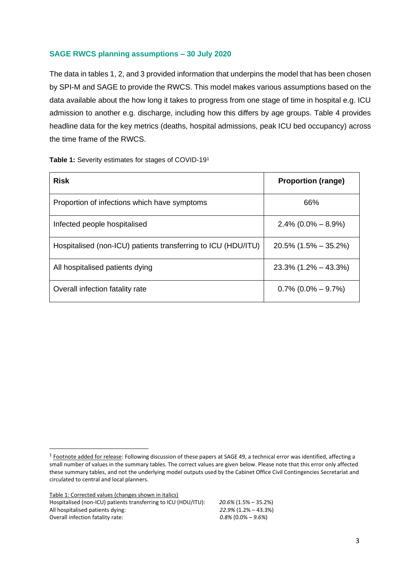### **SAGE RWCS planning assumptions – 30 July 2020**

The data in tables 1, 2, and 3 provided information that underpins the model that has been chosen by SPI-M and SAGE to provide the RWCS. This model makes various assumptions based on the data available about the how long it takes to progress from one stage of time in hospital e.g. ICU admission to another e.g. discharge, including how this differs by age groups. Table 4 provides headline data for the key metrics (deaths, hospital admissions, peak ICU bed occupancy) across the time frame of the RWCS.

|  | Table 1: Severity estimates for stages of COVID-191 |  |
|--|-----------------------------------------------------|--|
|--|-----------------------------------------------------|--|

| <b>Risk</b>                                                   | <b>Proportion (range)</b> |
|---------------------------------------------------------------|---------------------------|
| Proportion of infections which have symptoms                  | 66%                       |
| Infected people hospitalised                                  | $2.4\%$ (0.0% – 8.9%)     |
| Hospitalised (non-ICU) patients transferring to ICU (HDU/ITU) | $20.5\%$ (1.5% – 35.2%)   |
| All hospitalised patients dying                               | $23.3\%$ (1.2% – 43.3%)   |
| Overall infection fatality rate                               | $0.7\%$ (0.0% $-$ 9.7%)   |

Table 1: Corrected values (changes shown in italics) Hospitalised (non-ICU) patients transferring to ICU (HDU/ITU):  $20.6\%$  (1.5% – 35.2%)<br>All hospitalised patients dying:  $22.9\%$  (1.2% – 43.3%) All hospitalised patients dying: *22.9%* (1.2% – 43.3%)<br>Overall infection fatality rate: *0.8%* (0.0% – 9.6%) **Overall infection fatality rate:** 

<sup>&</sup>lt;sup>1</sup> Footnote added for release: Following discussion of these papers at SAGE 49, a technical error was identified, affecting a small number of values in the summary tables. The correct values are given below. Please note that this error only affected these summary tables, and not the underlying model outputs used by the Cabinet Office Civil Contingencies Secretariat and circulated to central and local planners.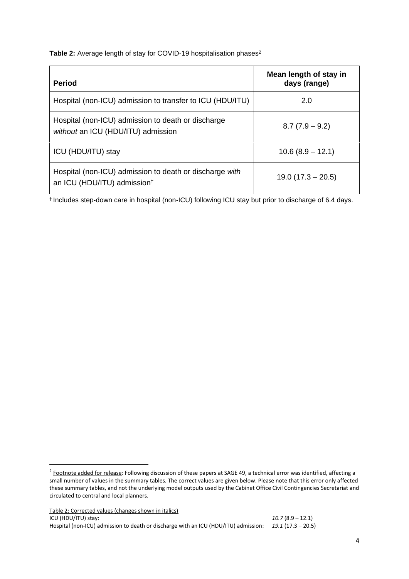#### Table 2: Average length of stay for COVID-19 hospitalisation phases<sup>2</sup>

| <b>Period</b>                                                                                      | Mean length of stay in<br>days (range) |
|----------------------------------------------------------------------------------------------------|----------------------------------------|
| Hospital (non-ICU) admission to transfer to ICU (HDU/ITU)                                          | 2.0                                    |
| Hospital (non-ICU) admission to death or discharge<br>without an ICU (HDU/ITU) admission           | $8.7(7.9 - 9.2)$                       |
| ICU (HDU/ITU) stay                                                                                 | $10.6(8.9 - 12.1)$                     |
| Hospital (non-ICU) admission to death or discharge with<br>an ICU (HDU/ITU) admission <sup>†</sup> | $19.0(17.3 - 20.5)$                    |

† Includes step-down care in hospital (non-ICU) following ICU stay but prior to discharge of 6.4 days.

Table 2: Corrected values (changes shown in italics) ICU (HDU/ITU) stay: *10.7* (8.9 – 12.1) Hospital (non-ICU) admission to death or discharge with an ICU (HDU/ITU) admission: *19.1* (17.3 – 20.5)

<sup>&</sup>lt;sup>2</sup> Footnote added for release: Following discussion of these papers at SAGE 49, a technical error was identified, affecting a small number of values in the summary tables. The correct values are given below. Please note that this error only affected these summary tables, and not the underlying model outputs used by the Cabinet Office Civil Contingencies Secretariat and circulated to central and local planners.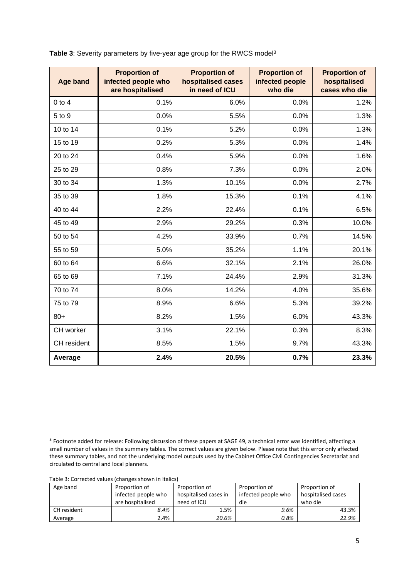| <b>Age band</b> | <b>Proportion of</b><br>infected people who<br>are hospitalised | <b>Proportion of</b><br>hospitalised cases<br>in need of ICU | <b>Proportion of</b><br>infected people<br>who die | <b>Proportion of</b><br>hospitalised<br>cases who die |
|-----------------|-----------------------------------------------------------------|--------------------------------------------------------------|----------------------------------------------------|-------------------------------------------------------|
| $0$ to $4$      | 0.1%                                                            | 6.0%                                                         | 0.0%                                               | 1.2%                                                  |
| 5 to 9          | 0.0%                                                            | 5.5%                                                         | 0.0%                                               | 1.3%                                                  |
| 10 to 14        | 0.1%                                                            | 5.2%                                                         | 0.0%                                               | 1.3%                                                  |
| 15 to 19        | 0.2%                                                            | 5.3%                                                         | 0.0%                                               | 1.4%                                                  |
| 20 to 24        | 0.4%                                                            | 5.9%                                                         | 0.0%                                               | 1.6%                                                  |
| 25 to 29        | 0.8%                                                            | 7.3%                                                         | 0.0%                                               | 2.0%                                                  |
| 30 to 34        | 1.3%                                                            | 10.1%                                                        | 0.0%                                               | 2.7%                                                  |
| 35 to 39        | 1.8%                                                            | 15.3%                                                        | 0.1%                                               | 4.1%                                                  |
| 40 to 44        | 2.2%                                                            | 22.4%                                                        | 0.1%                                               | 6.5%                                                  |
| 45 to 49        | 2.9%                                                            | 29.2%                                                        | 0.3%                                               | 10.0%                                                 |
| 50 to 54        | 4.2%                                                            | 33.9%                                                        | 0.7%                                               | 14.5%                                                 |
| 55 to 59        | 5.0%                                                            | 35.2%                                                        | 1.1%                                               | 20.1%                                                 |
| 60 to 64        | 6.6%                                                            | 32.1%                                                        | 2.1%                                               | 26.0%                                                 |
| 65 to 69        | 7.1%                                                            | 24.4%                                                        | 2.9%                                               | 31.3%                                                 |
| 70 to 74        | 8.0%                                                            | 14.2%                                                        | 4.0%                                               | 35.6%                                                 |
| 75 to 79        | 8.9%                                                            | 6.6%                                                         | 5.3%                                               | 39.2%                                                 |
| $80+$           | 8.2%                                                            | 1.5%                                                         | 6.0%                                               | 43.3%                                                 |
| CH worker       | 3.1%                                                            | 22.1%                                                        | 0.3%                                               | 8.3%                                                  |
| CH resident     | 8.5%                                                            | 1.5%                                                         | 9.7%                                               | 43.3%                                                 |
| Average         | 2.4%                                                            | 20.5%                                                        | 0.7%                                               | 23.3%                                                 |

**Table 3**: Severity parameters by five-year age group for the RWCS model<sup>3</sup>

Table 3: Corrected values (changes shown in italics)

| Age band    | Proportion of       | Proportion of         | Proportion of       | Proportion of      |  |
|-------------|---------------------|-----------------------|---------------------|--------------------|--|
|             | infected people who | hospitalised cases in | infected people who | hospitalised cases |  |
|             | are hospitalised    | need of ICU           | die                 | who die            |  |
| CH resident | 8.4%                | 1.5%                  | 9.6%                | 43.3%              |  |
| Average     | 2.4%                | 20.6%                 | 0.8%                | 22.9%              |  |

<sup>&</sup>lt;sup>3</sup> Footnote added for release: Following discussion of these papers at SAGE 49, a technical error was identified, affecting a small number of values in the summary tables. The correct values are given below. Please note that this error only affected these summary tables, and not the underlying model outputs used by the Cabinet Office Civil Contingencies Secretariat and circulated to central and local planners.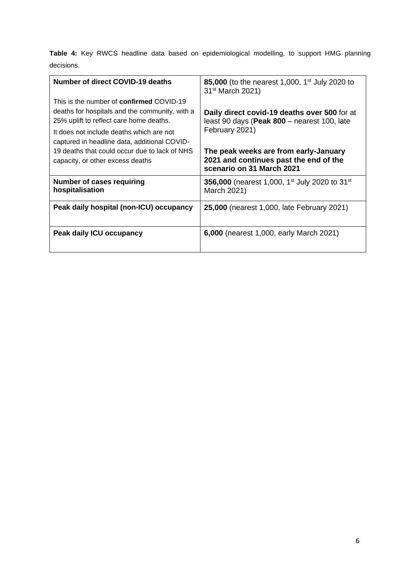**Table 4:** Key RWCS headline data based on epidemiological modelling, to support HMG planning decisions.

| <b>Number of direct COVID-19 deaths</b>                                                                                                                                                                                                  | 85,000 (to the nearest 1,000, 1 <sup>st</sup> July 2020 to<br>31 <sup>st</sup> March 2021)                    |  |  |  |
|------------------------------------------------------------------------------------------------------------------------------------------------------------------------------------------------------------------------------------------|---------------------------------------------------------------------------------------------------------------|--|--|--|
| This is the number of <b>confirmed</b> COVID-19<br>deaths for hospitals and the community, with a<br>25% uplift to reflect care home deaths.<br>It does not include deaths which are not<br>captured in headline data, additional COVID- | Daily direct covid-19 deaths over 500 for at<br>least 90 days (Peak 800 - nearest 100, late<br>February 2021) |  |  |  |
| 19 deaths that could occur due to lack of NHS<br>capacity, or other excess deaths                                                                                                                                                        | The peak weeks are from early-January<br>2021 and continues past the end of the<br>scenario on 31 March 2021  |  |  |  |
| Number of cases requiring<br>hospitalisation                                                                                                                                                                                             | 356,000 (nearest 1,000, 1 <sup>st</sup> July 2020 to 31 <sup>st</sup><br>March 2021)                          |  |  |  |
| Peak daily hospital (non-ICU) occupancy                                                                                                                                                                                                  | 25,000 (nearest 1,000, late February 2021)                                                                    |  |  |  |
| <b>Peak daily ICU occupancy</b>                                                                                                                                                                                                          | 6,000 (nearest 1,000, early March 2021)                                                                       |  |  |  |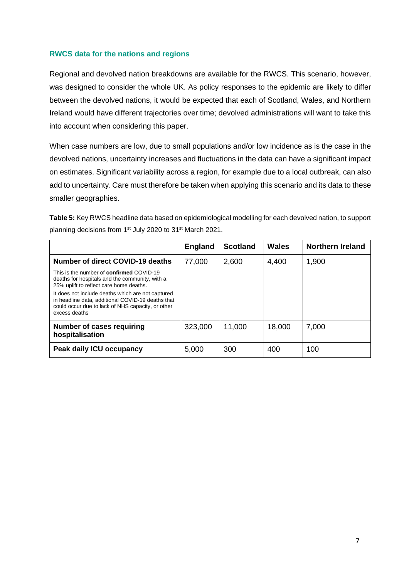### **RWCS data for the nations and regions**

Regional and devolved nation breakdowns are available for the RWCS. This scenario, however, was designed to consider the whole UK. As policy responses to the epidemic are likely to differ between the devolved nations, it would be expected that each of Scotland, Wales, and Northern Ireland would have different trajectories over time; devolved administrations will want to take this into account when considering this paper.

When case numbers are low, due to small populations and/or low incidence as is the case in the devolved nations, uncertainty increases and fluctuations in the data can have a significant impact on estimates. Significant variability across a region, for example due to a local outbreak, can also add to uncertainty. Care must therefore be taken when applying this scenario and its data to these smaller geographies.

**Table 5:** Key RWCS headline data based on epidemiological modelling for each devolved nation, to support planning decisions from 1<sup>st</sup> July 2020 to 31<sup>st</sup> March 2021.

|                                                                                                                                                                              | <b>England</b> | <b>Scotland</b> | Wales  | <b>Northern Ireland</b> |
|------------------------------------------------------------------------------------------------------------------------------------------------------------------------------|----------------|-----------------|--------|-------------------------|
| <b>Number of direct COVID-19 deaths</b>                                                                                                                                      | 77,000         | 2,600           | 4,400  | 1,900                   |
| This is the number of <b>confirmed</b> COVID-19<br>deaths for hospitals and the community, with a<br>25% uplift to reflect care home deaths.                                 |                |                 |        |                         |
| It does not include deaths which are not captured<br>in headline data, additional COVID-19 deaths that<br>could occur due to lack of NHS capacity, or other<br>excess deaths |                |                 |        |                         |
| Number of cases requiring<br>hospitalisation                                                                                                                                 | 323,000        | 11,000          | 18,000 | 7,000                   |
| Peak daily ICU occupancy                                                                                                                                                     | 5,000          | 300             | 400    | 100                     |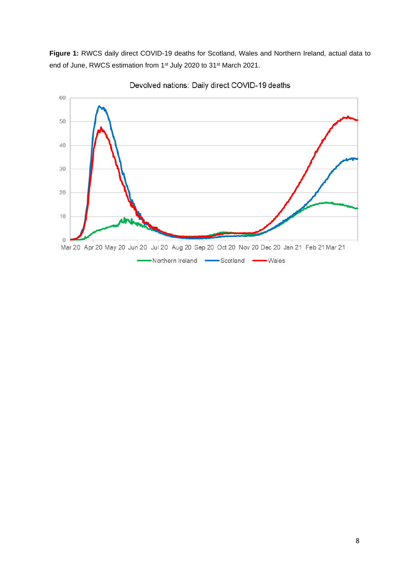**Figure 1:** RWCS daily direct COVID-19 deaths for Scotland, Wales and Northern Ireland, actual data to end of June, RWCS estimation from 1<sup>st</sup> July 2020 to 31<sup>st</sup> March 2021.



Devolved nations: Daily direct COVID-19 deaths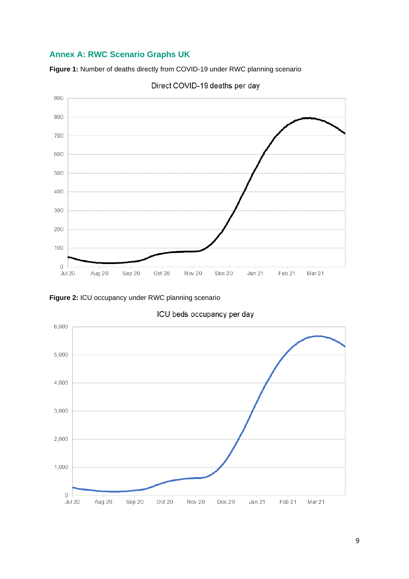# **Annex A: RWC Scenario Graphs UK**

**Figure 1:** Number of deaths directly from COVID-19 under RWC planning scenario





**Figure 2:** ICU occupancy under RWC planning scenario



ICU beds occupancy per day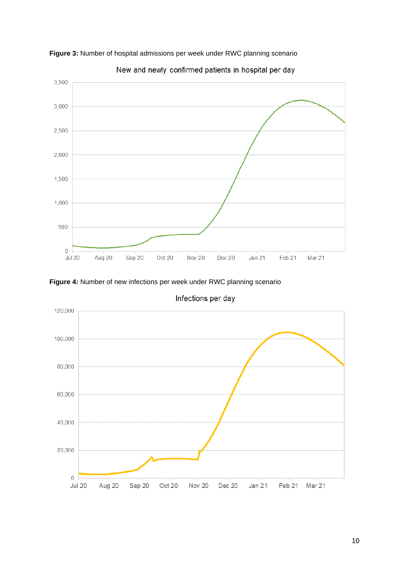

**Figure 3:** Number of hospital admissions per week under RWC planning scenario







Infections per day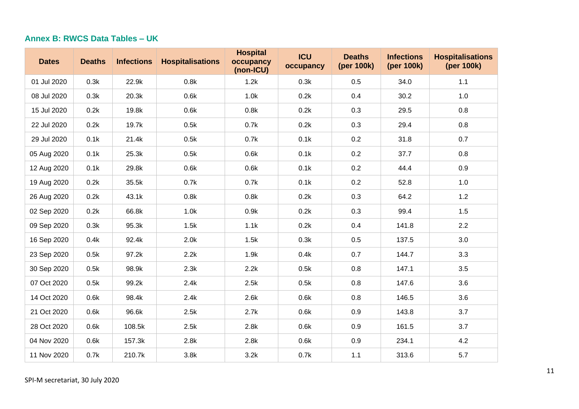## **Annex B: RWCS Data Tables – UK**

| <b>Dates</b> | <b>Deaths</b> | <b>Infections</b> | <b>Hospitalisations</b> | <b>Hospital</b><br>occupancy<br>(non-ICU) | <b>ICU</b><br>occupancy | <b>Deaths</b><br>(per 100k) | <b>Infections</b><br>(per 100k) | <b>Hospitalisations</b><br>(per 100k) |
|--------------|---------------|-------------------|-------------------------|-------------------------------------------|-------------------------|-----------------------------|---------------------------------|---------------------------------------|
| 01 Jul 2020  | 0.3k          | 22.9k             | 0.8k                    | 1.2k                                      | 0.3k                    | 0.5                         | 34.0                            | $1.1$                                 |
| 08 Jul 2020  | 0.3k          | 20.3k             | 0.6k                    | 1.0k                                      | 0.2k                    | 0.4                         | 30.2                            | 1.0                                   |
| 15 Jul 2020  | 0.2k          | 19.8k             | 0.6k                    | 0.8k                                      | 0.2k                    | 0.3                         | 29.5                            | 0.8                                   |
| 22 Jul 2020  | 0.2k          | 19.7k             | 0.5k                    | 0.7k                                      | 0.2k                    | 0.3                         | 29.4                            | 0.8                                   |
| 29 Jul 2020  | 0.1k          | 21.4k             | 0.5k                    | 0.7k                                      | 0.1k                    | 0.2                         | 31.8                            | 0.7                                   |
| 05 Aug 2020  | 0.1k          | 25.3k             | 0.5k                    | 0.6k                                      | 0.1k                    | 0.2                         | 37.7                            | 0.8                                   |
| 12 Aug 2020  | 0.1k          | 29.8k             | 0.6k                    | 0.6k                                      | 0.1k                    | 0.2                         | 44.4                            | 0.9                                   |
| 19 Aug 2020  | 0.2k          | 35.5k             | 0.7k                    | 0.7k                                      | 0.1k                    | 0.2                         | 52.8                            | 1.0                                   |
| 26 Aug 2020  | 0.2k          | 43.1k             | 0.8k                    | 0.8k                                      | 0.2k                    | 0.3                         | 64.2                            | 1.2                                   |
| 02 Sep 2020  | 0.2k          | 66.8k             | 1.0k                    | 0.9k                                      | 0.2k                    | 0.3                         | 99.4                            | 1.5                                   |
| 09 Sep 2020  | 0.3k          | 95.3k             | 1.5k                    | 1.1k                                      | 0.2k                    | 0.4                         | 141.8                           | 2.2                                   |
| 16 Sep 2020  | 0.4k          | 92.4k             | 2.0k                    | 1.5k                                      | 0.3k                    | 0.5                         | 137.5                           | 3.0                                   |
| 23 Sep 2020  | 0.5k          | 97.2k             | 2.2k                    | 1.9k                                      | 0.4k                    | 0.7                         | 144.7                           | 3.3                                   |
| 30 Sep 2020  | 0.5k          | 98.9k             | 2.3k                    | 2.2k                                      | 0.5k                    | 0.8                         | 147.1                           | 3.5                                   |
| 07 Oct 2020  | 0.5k          | 99.2k             | 2.4k                    | 2.5k                                      | 0.5k                    | 0.8                         | 147.6                           | 3.6                                   |
| 14 Oct 2020  | 0.6k          | 98.4k             | 2.4k                    | 2.6k                                      | 0.6k                    | 0.8                         | 146.5                           | 3.6                                   |
| 21 Oct 2020  | 0.6k          | 96.6k             | 2.5k                    | 2.7k                                      | 0.6k                    | 0.9                         | 143.8                           | 3.7                                   |
| 28 Oct 2020  | 0.6k          | 108.5k            | 2.5k                    | 2.8k                                      | 0.6k                    | 0.9                         | 161.5                           | 3.7                                   |
| 04 Nov 2020  | 0.6k          | 157.3k            | 2.8k                    | 2.8k                                      | 0.6k                    | 0.9                         | 234.1                           | 4.2                                   |
| 11 Nov 2020  | 0.7k          | 210.7k            | 3.8k                    | 3.2k                                      | 0.7k                    | $1.1$                       | 313.6                           | 5.7                                   |